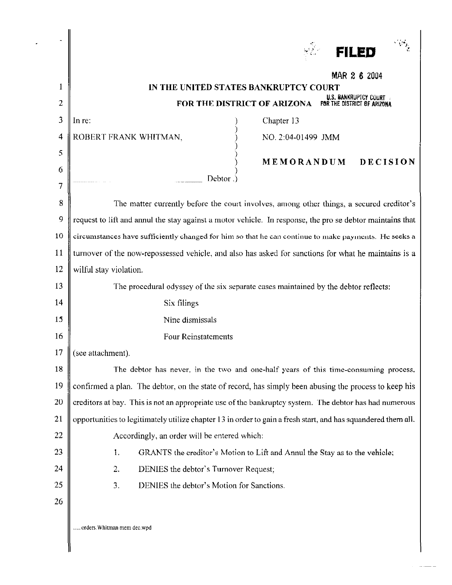|        | <b>FILED</b>                                                                                                  |
|--------|---------------------------------------------------------------------------------------------------------------|
|        |                                                                                                               |
| 1      | MAR 2 6 2004<br>IN THE UNITED STATES BANKRUPTCY COURT                                                         |
| 2      | U.S. BANKRUPTCY COURT<br>FOR THE DISTRICT OF ARIZONA<br>FOR THE DISTRICT OF ARIZONA                           |
| 3      | Chapter 13<br>In re:                                                                                          |
| 4      | ROBERT FRANK WHITMAN,<br>NO. 2:04-01499 JMM                                                                   |
| 5      |                                                                                                               |
| 6      | <b>MEMORANDUM</b><br>DECISION                                                                                 |
| 7      | Debtor.                                                                                                       |
| 8      | The matter currently before the court involves, among other things, a secured creditor's                      |
| 9      | request to lift and annul the stay against a motor vehicle. In response, the pro se debtor maintains that     |
| 10     | circumstances have sufficiently changed for him so that he can continue to make payments. He seeks a          |
| 11     | turnover of the now-repossessed vehicle, and also has asked for sanctions for what he maintains is a          |
| 12     | wilful stay violation.                                                                                        |
| 13     | The procedural odyssey of the six separate cases maintained by the debtor reflects:                           |
| 14     | Six filings                                                                                                   |
| 15     | Nine dismissals                                                                                               |
| 16     | <b>Four Reinstatements</b>                                                                                    |
| 17     | (see attachment).                                                                                             |
| 18     | The debtor has never, in the two and one-half years of this time-consuming process.                           |
| 19     | confirmed a plan. The debtor, on the state of record, has simply been abusing the process to keep his         |
| 20     | creditors at bay. This is not an appropriate use of the bankruptcy system. The debtor has had numerous        |
| 21     | opportunities to legitimately utilize chapter 13 in order to gain a fresh start, and has squandered them all. |
| $22\,$ | Accordingly, an order will be entered which:                                                                  |
| 23     | 1.<br>GRANTS the creditor's Motion to Lift and Annul the Stay as to the vehicle;                              |
| 24     | 2.<br>DENIES the debtor's Turnover Request;                                                                   |
| 25     | 3.<br>DENIES the debtor's Motion for Sanctions.                                                               |
| 26     |                                                                                                               |
|        | orders. Whitman mem dec.wpd                                                                                   |

 $\overline{\phantom{a}}$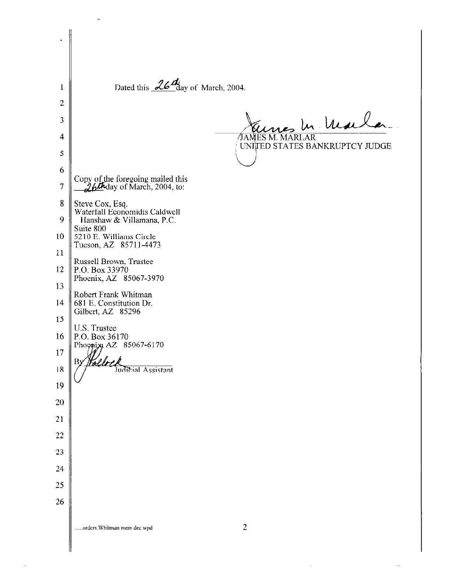Dated this  $\frac{26}{\text{day of March}}$ , 2004. 1 2 Hennes In Maile 3 4 UNITED STATES BANKRUPTCY JUDGE 5  $\setminus$ 6 Copy of the foregoing mailed this 7 J.61Jiday of March, 2004, to: 8 Steve Cox, Esq. Waterfall Economidis Caldwell 9 Hanshaw & Villamana, P.C. Suite 800 10  $\parallel$  5210 E. Williams Circle Tucson, AZ 85711-4473 11 Russell Brown, Tmstee  $12 \parallel P.O.$  Box 33970 Phoenix, AZ 85067-3970 13 Robert Frank Whitman 14 681 E. Constitution Dr. Gilbert, AZ 85296 15 U.S. Trustee 16 | P.O. Box 36170 Phoonix AZ 85067-6170 17 rller B 18 **Judicial Assistant** 19 20 21 22 23 24 25 26 2 . \_ **nrdcrs\_Whitman mem dec.wpd**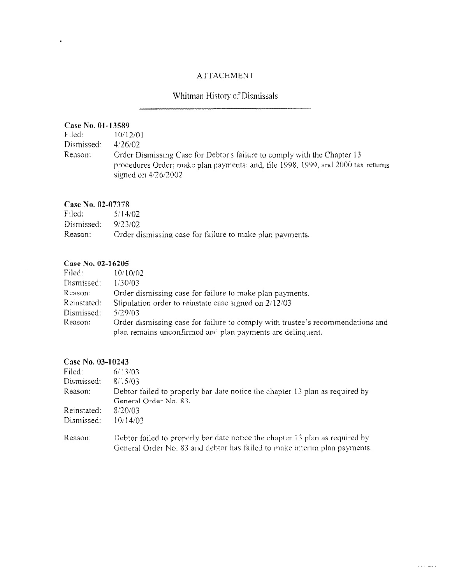### ATTACHMENT

# Whitman History of Dismissals

#### Case No. 01-13589

 $\bullet$ 

| Filed: I   | 10/12/01                                                                                                                                                     |
|------------|--------------------------------------------------------------------------------------------------------------------------------------------------------------|
| Dismissed: | 4/26/02                                                                                                                                                      |
| Reason:    | Order Dismissing Case for Debtor's failure to comply with the Chapter 13<br>procedures Order; make plan payments; and, file 1998, 1999, and 2000 tax returns |
|            | signed on $4/26/2002$                                                                                                                                        |

#### **Case No. 02-07378**

| Filed:     | 5/14/02                                                  |
|------------|----------------------------------------------------------|
| Dismissed: | 9/23/02                                                  |
| Reason:    | Order dismissing case for failure to make plan payments. |

#### **Case No. 02-16205**

| Filed:      | 10/10/02                                                                       |
|-------------|--------------------------------------------------------------------------------|
| Dismissed:  | 1/30/03                                                                        |
| Reason:     | Order dismissing case for failure to make plan payments.                       |
| Reinstated: | Stipulation order to reinstate case signed on 2/12/03                          |
| Dismissed:  | 5/29/03                                                                        |
| Reason:     | Order dismissing case for failure to comply with trustee's recommendations and |
|             | plan remains unconfirmed and plan payments are delinquent.                     |

### **Case No. 03-10243**

| Filed:      | 6/13/03                                                                      |
|-------------|------------------------------------------------------------------------------|
| Dismissed:  | 8/15/03                                                                      |
| Reason:     | Debtor failed to properly bar date notice the chapter 13 plan as required by |
|             | General Order No. 83.                                                        |
| Reinstated: | 8/20/03                                                                      |
| Dismissed:  | 10/14/03                                                                     |
| Reason:     | Debtor failed to properly bar date notice the chapter 13 plan as required by |
|             | General Order No. 83 and debtor has failed to make interim plan payments.    |

 $\ldots$  . The  $\mathbb{Z}$